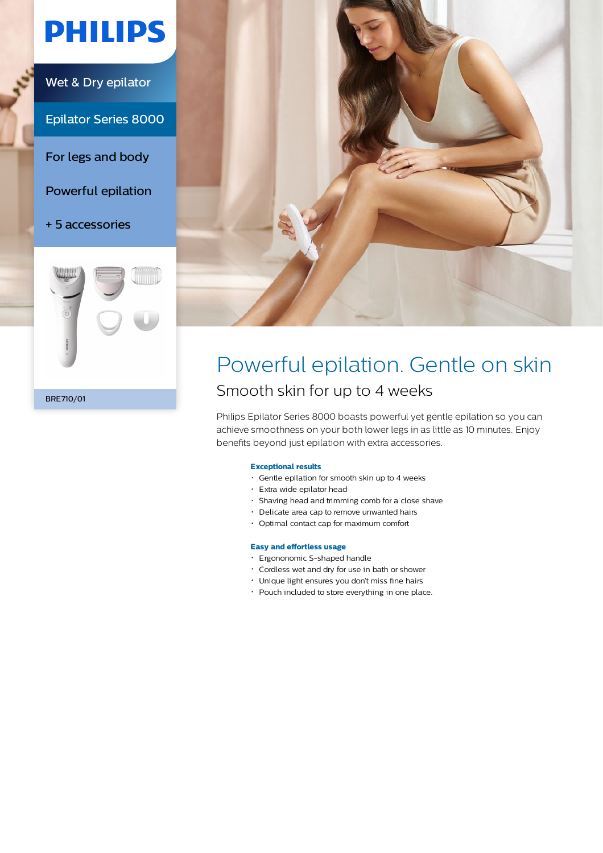# **PHILIPS**

Wet & Dry epilator

Epilator Series 8000

For legs and body

Powerful epilation

+ 5 accessories





# Powerful epilation. Gentle on skin Smooth skin for up to 4 weeks

Philips Epilator Series 8000 boasts powerful yet gentle epilation so you can achieve smoothness on your both lower legs in as little as 10 minutes. Enjoy benefits beyond just epilation with extra accessories.

# **Exceptional results**

- Gentle epilation for smooth skin up to 4 weeks
- Extra wide epilator head
- Shaving head and trimming comb for a close shave
- Delicate area cap to remove unwanted hairs
- Optimal contact cap for maximum comfort

# **Easy and effortless usage**

- Ergononomic S-shaped handle
- Cordless wet and dry for use in bath or shower
- Unique light ensures you don't miss fine hairs
- Pouch included to store everything in one place.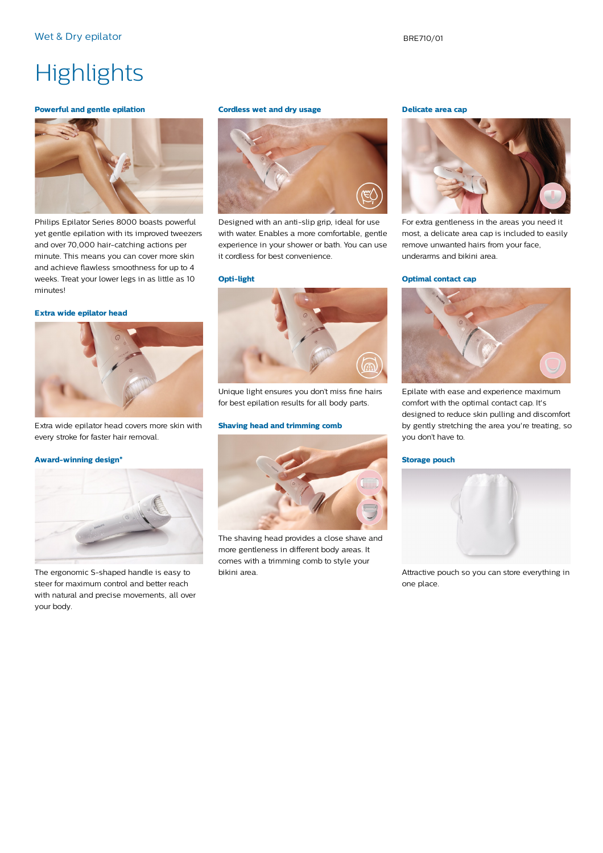# **Highlights**

### **Powerful and gentle epilation**



Philips Epilator Series 8000 boasts powerful yet gentle epilation with its improved tweezers and over 70,000 hair-catching actions per minute. This means you can cover more skin and achieve flawless smoothness for up to 4 weeks. Treat your lower legs in as little as 10 minutes!

### **Extra wide epilator head**



Extra wide epilator head covers more skin with every stroke for faster hair removal.

### **Award-winning design\***



The ergonomic S-shaped handle is easy to steer for maximum control and better reach with natural and precise movements, all over your body.

#### **Cordless wet and dry usage**



Designed with an anti-slip grip, ideal for use with water. Enables a more comfortable, gentle experience in your shower or bath. You can use it cordless for best convenience.

#### **Opti-light**



Unique light ensures you don't miss fine hairs for best epilation results for all body parts.

# **Shaving head and trimming comb**



The shaving head provides a close shave and more gentleness in different body areas. It comes with a trimming comb to style your bikini area.

#### **Delicate area cap**



For extra gentleness in the areas you need it most, a delicate area cap is included to easily remove unwanted hairs from your face, underarms and bikini area.

#### **Optimal contact cap**



Epilate with ease and experience maximum comfort with the optimal contact cap. It's designed to reduce skin pulling and discomfort by gently stretching the area you're treating, so you don't have to.

### **Storage pouch**



Attractive pouch so you can store everything in one place.